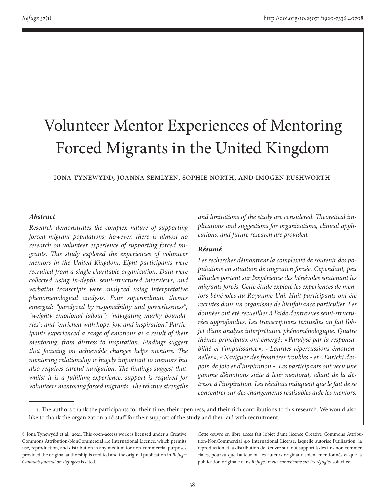# Volunteer Mentor Experiences of Mentoring Forced Migrants in the United Kingdom

IONA TYNEWYDD, JOANNA SEMLYEN, SOPHIE NORTH, AND IMOGEN RUSHWORTH<sup>1</sup>

## *Abstract*

*Research demonstrates the complex nature of supporting forced migrant populations; however, there is almost no research on volunteer experience of supporting forced migrants. This study explored the experiences of volunteer mentors in the United Kingdom. Eight participants were recruited from a single charitable organization. Data were collected using in-depth, semi-structured interviews, and verbatim transcripts were analyzed using Interpretative phenomenological analysis. Four superordinate themes emerged: "paralyzed by responsibility and powerlessness"; "weighty emotional fallout"; "navigating murky boundaries"; and "enriched with hope, joy, and inspiration." Participants experienced a range of emotions as a result of their mentoring: from distress to inspiration. Findings suggest that focusing on achievable changes helps mentors. The mentoring relationship is hugely important to mentors but also requires careful navigation. The findings suggest that, whilst it is a fulfilling experience, support is required for volunteers mentoring forced migrants. The relative strengths* 

*and limitations of the study are considered. Theoretical implications and suggestions for organizations, clinical applications, and future research are provided.*

#### *Résumé*

*Les recherches démontrent la complexité de soutenir des populations en situation de migration forcée. Cependant, peu d'études portent sur l'expérience des bénévoles soutenant les migrants forcés. Cette étude explore les expériences de mentors bénévoles au Royaume-Uni. Huit participants ont été recrutés dans un organisme de bienfaisance particulier. Les données ont été recueillies à l'aide d'entrevues semi-structurées approfondies. Les transcriptions textuelles on fait l'objet d'une analyse interprétative phénoménologique. Quatre thèmes principaux ont émergé : «Paralysé par la responsabilité et l'impuissance », «Lourdes répercussions émotionnelles », «Naviguer des frontières troubles » et «Enrichi d'espoir, de joie et d'inspiration». Les participants ont vécu une gamme d'émotions suite à leur mentorat, allant de la détresse à l'inspiration. Les résultats indiquent que le fait de se concentrer sur des changements réalisables aide les mentors.* 

Cette œuvre en libre accès fait l'objet d'une licence Creative Commons Attribution-NonCommercial 4.0 International License, laquelle autorise l'utilisation, la reproduction et la distribution de l'œuvre sur tout support à des fins non commerciales, pourvu que l'auteur ou les auteurs originaux soient mentionnés et que la publication originale dans *Refuge : revue canadienne sur les réfugiés* soit citée.

<sup>1.</sup> The authors thank the participants for their time, their openness, and their rich contributions to this research. We would also like to thank the organization and staff for their support of the study and their aid with recruitment.

<sup>©</sup> Iona Tynewydd et al., 2021. This open-access work is licensed under a Creative Commons Attribution-NonCommercial 4.0 International Licence, which permits use, reproduction, and distribution in any medium for non-commercial purposes, provided the original authorship is credited and the original publication in *Refuge: Canada's Journal on Refugees* is cited.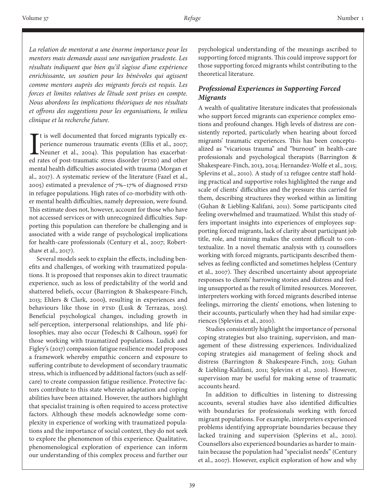*La relation de mentorat a une énorme importance pour les mentors mais demande aussi une navigation prudente. Les résultats indiquent que bien qu'il s'agisse d'une expérience enrichissante, un soutien pour les bénévoles qui agissent comme mentors auprès des migrants forcés est requis. Les forces et limites relatives de l'étude sont prises en compte. Nous abordons les implications théoriques de nos résultats et offrons des suggestions pour les organisations, le milieu clinique et la recherche future.*

It is well documented that forced migrants typically experience numerous traumatic events (Ellis et al., 2007;<br>Neuner et al., 2004). This population has exacerbated rates of post-traumatic stress disorder (PTSD) and other t is well documented that forced migrants typically experience numerous traumatic events (Ellis et al., 2007; Neuner et al., 2004). This population has exacerbatmental health difficulties associated with trauma (Morgan et al., 2017). A systematic review of the literature (Fazel et al., 2005) estimated a prevalence of 7%–17% of diagnosed PTSD in refugee populations. High rates of co-morbidity with other mental health difficulties, namely depression, were found. This estimate does not, however, account for those who have not accessed services or with unrecognized difficulties. Supporting this population can therefore be challenging and is associated with a wide range of psychological implications for health-care professionals (Century et al., 2007; Robertshaw et al., 2017).

Several models seek to explain the effects, including benefits and challenges, of working with traumatized populations. It is proposed that responses akin to direct traumatic experience, such as loss of predictability of the world and shattered beliefs, occur (Barrington & Shakespeare-Finch, 2013; Ehlers & Clark, 2000), resulting in experiences and behaviours like those in PTSD (Lusk & Terrazas, 2015). Beneficial psychological changes, including growth in self-perception, interpersonal relationships, and life philosophies, may also occur (Tedeschi & Calhoun, 1996) for those working with traumatized populations. Ludick and Figley's (2017) compassion fatigue resilience model proposes a framework whereby empathic concern and exposure to suffering contribute to development of secondary traumatic stress, which is influenced by additional factors (such as selfcare) to create compassion fatigue resilience. Protective factors contribute to this state wherein adaptation and coping abilities have been attained. However, the authors highlight that specialist training is often required to access protective factors. Although these models acknowledge some complexity in experience of working with traumatized populations and the importance of social context, they do not seek to explore the phenomenon of this experience. Qualitative, phenomenological exploration of experience can inform our understanding of this complex process and further our

psychological understanding of the meanings ascribed to supporting forced migrants. This could improve support for those supporting forced migrants whilst contributing to the theoretical literature.

# *Professional Experiences in Supporting Forced Migrants*

A wealth of qualitative literature indicates that professionals who support forced migrants can experience complex emotions and profound changes. High levels of distress are consistently reported, particularly when hearing about forced migrants' traumatic experiences. This has been conceptualized as "vicarious trauma" and "burnout" in health-care professionals and psychological therapists (Barrington & Shakespeare-Finch, 2013, 2014; Hernandez-Wolfe et al., 2015; Splevins et al., 2010). A study of 12 refugee centre staff holding practical and supportive roles highlighted the range and scale of clients' difficulties and the pressure this carried for them, describing structures they worked within as limiting (Guhan & Liebling-Kalifani, 2011). Some participants cited feeling overwhelmed and traumatized. Whilst this study offers important insights into experiences of employees supporting forced migrants, lack of clarity about participant job title, role, and training makes the content difficult to contextualize. In a novel thematic analysis with 13 counsellors working with forced migrants, participants described themselves as feeling conflicted and sometimes helpless (Century et al., 2007). They described uncertainty about appropriate responses to clients' harrowing stories and distress and feeling unsupported as the result of limited resources. Moreover, interpreters working with forced migrants described intense feelings, mirroring the clients' emotions, when listening to their accounts, particularly when they had had similar experiences (Splevins et al., 2010).

Studies consistently highlight the importance of personal coping strategies but also training, supervision, and management of these distressing experiences. Individualized coping strategies aid management of feeling shock and distress (Barrington & Shakespeare-Finch, 2013; Guhan & Liebling-Kalifani, 2011; Splevins et al., 2010). However, supervision may be useful for making sense of traumatic accounts heard.

In addition to difficulties in listening to distressing accounts, several studies have also identified difficulties with boundaries for professionals working with forced migrant populations. For example, interpreters experienced problems identifying appropriate boundaries because they lacked training and supervision (Splevins et al., 2010). Counsellors also experienced boundaries as harder to maintain because the population had "specialist needs" (Century et al., 2007). However, explicit exploration of how and why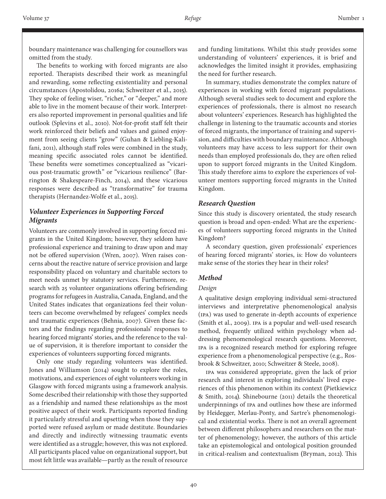boundary maintenance was challenging for counsellors was omitted from the study.

The benefits to working with forced migrants are also reported. Therapists described their work as meaningful and rewarding, some reflecting existentiality and personal circumstances (Apostolidou, 2016a; Schweitzer et al., 2015). They spoke of feeling wiser, "richer," or "deeper," and more able to live in the moment because of their work. Interpreters also reported improvement in personal qualities and life outlook (Splevins et al., 2010). Not-for-profit staff felt their work reinforced their beliefs and values and gained enjoyment from seeing clients "grow" (Guhan & Liebling-Kalifani, 2011), although staff roles were combined in the study, meaning specific associated roles cannot be identified. These benefits were sometimes conceptualized as "vicarious post-traumatic growth" or "vicarious resilience" (Barrington & Shakespeare-Finch, 2014), and these vicarious responses were described as "transformative" for trauma therapists (Hernandez-Wolfe et al., 2015).

## *Volunteer Experiences in Supporting Forced Migrants*

Volunteers are commonly involved in supporting forced migrants in the United Kingdom; however, they seldom have professional experience and training to draw upon and may not be offered supervision (Wren, 2007). Wren raises concerns about the reactive nature of service provision and large responsibility placed on voluntary and charitable sectors to meet needs unmet by statutory services. Furthermore, research with 25 volunteer organizations offering befriending programs for refugees in Australia, Canada, England, and the United States indicates that organizations feel their volunteers can become overwhelmed by refugees' complex needs and traumatic experiences (Behnia, 2007). Given these factors and the findings regarding professionals' responses to hearing forced migrants' stories, and the reference to the value of supervision, it is therefore important to consider the experiences of volunteers supporting forced migrants.

Only one study regarding volunteers was identified. Jones and Williamson (2014) sought to explore the roles, motivations, and experiences of eight volunteers working in Glasgow with forced migrants using a framework analysis. Some described their relationship with those they supported as a friendship and named these relationships as the most positive aspect of their work. Participants reported finding it particularly stressful and upsetting when those they supported were refused asylum or made destitute. Boundaries and directly and indirectly witnessing traumatic events were identified as a struggle; however, this was not explored. All participants placed value on organizational support, but most felt little was available—partly as the result of resource

and funding limitations. Whilst this study provides some understanding of volunteers' experiences, it is brief and acknowledges the limited insight it provides, emphasizing the need for further research.

In summary, studies demonstrate the complex nature of experiences in working with forced migrant populations. Although several studies seek to document and explore the experiences of professionals, there is almost no research about volunteers' experiences. Research has highlighted the challenge in listening to the traumatic accounts and stories of forced migrants, the importance of training and supervision, and difficulties with boundary maintenance. Although volunteers may have access to less support for their own needs than employed professionals do, they are often relied upon to support forced migrants in the United Kingdom. This study therefore aims to explore the experiences of volunteer mentors supporting forced migrants in the United Kingdom.

#### *Research Question*

Since this study is discovery orientated, the study research question is broad and open-ended: What are the experiences of volunteers supporting forced migrants in the United Kingdom?

A secondary question, given professionals' experiences of hearing forced migrants' stories, is: How do volunteers make sense of the stories they hear in their roles?

## *Method*

#### *Design*

A qualitative design employing individual semi-structured interviews and interpretative phenomenological analysis (IPA) was used to generate in-depth accounts of experience (Smith et al., 2009). IPA is a popular and well-used research method, frequently utilized within psychology when addressing phenomenological research questions. Moreover, IPA is a recognized research method for exploring refugee experience from a phenomenological perspective (e.g., Rosbrook & Schweitzer, 2010; Schweitzer & Steele, 2008).

IPA was considered appropriate, given the lack of prior research and interest in exploring individuals' lived experiences of this phenomenon within its context (Pietkiewicz & Smith, 2014). Shinebourne (2011) details the theoretical underpinnings of IPA and outlines how these are informed by Heidegger, Merlau-Ponty, and Sartre's phenomenological and existential works. There is not an overall agreement between different philosophers and researchers on the matter of phenomenology; however, the authors of this article take an epistemological and ontological position grounded in critical-realism and contextualism (Bryman, 2012). This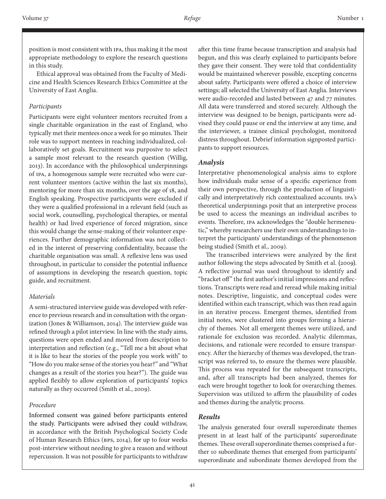position is most consistent with IPA, thus making it the most appropriate methodology to explore the research questions in this study.

Ethical approval was obtained from the Faculty of Medicine and Health Sciences Research Ethics Committee at the University of East Anglia.

#### *Participants*

Participants were eight volunteer mentors recruited from a single charitable organization in the east of England, who typically met their mentees once a week for 90 minutes. Their role was to support mentees in reaching individualized, collaboratively set goals. Recruitment was purposive to select a sample most relevant to the research question (Willig, 2013). In accordance with the philosophical underpinnings of IPA, a homogenous sample were recruited who were current volunteer mentors (active within the last six months), mentoring for more than six months, over the age of 18, and English speaking. Prospective participants were excluded if they were a qualified professional in a relevant field (such as social work, counselling, psychological therapies, or mental health) or had lived experience of forced migration, since this would change the sense-making of their volunteer experiences. Further demographic information was not collected in the interest of preserving confidentiality, because the charitable organisation was small. A reflexive lens was used throughout, in particular to consider the potential influence of assumptions in developing the research question, topic guide, and recruitment.

#### *Materials*

A semi-structured interview guide was developed with reference to previous research and in consultation with the organization (Jones & Williamson, 2014). The interview guide was refined through a pilot interview. In line with the study aims, questions were open ended and moved from description to interpretation and reflection (e.g., "Tell me a bit about what it is like to hear the stories of the people you work with" to "How do you make sense of the stories you hear?" and "What changes as a result of the stories you hear?"). The guide was applied flexibly to allow exploration of participants' topics naturally as they occurred (Smith et al., 2009).

## *Procedure*

Informed consent was gained before participants entered the study. Participants were advised they could withdraw, in accordance with the British Psychological Society Code of Human Research Ethics (BPS, 2014), for up to four weeks post-interview without needing to give a reason and without repercussion. It was not possible for participants to withdraw

after this time frame because transcription and analysis had begun, and this was clearly explained to participants before they gave their consent. They were told that confidentiality would be maintained wherever possible, excepting concerns about safety. Participants were offered a choice of interview settings; all selected the University of East Anglia. Interviews were audio-recorded and lasted between 47 and 77 minutes. All data were transferred and stored securely. Although the interview was designed to be benign, participants were advised they could pause or end the interview at any time, and the interviewer, a trainee clinical psychologist, monitored distress throughout. Debrief information signposted participants to support resources.

## *Analysis*

Interpretative phenomenological analysis aims to explore how individuals make sense of a specific experience from their own perspective, through the production of linguistically and interpretatively rich contextualized accounts. IPA's theoretical underpinnings posit that an interpretive process be used to access the meanings an individual ascribes to events. Therefore, IPA acknowledges the "double hermeneutic," whereby researchers use their own understandings to interpret the participants' understandings of the phenomenon being studied (Smith et al., 2009).

The transcribed interviews were analyzed by the first author following the steps advocated by Smith et al. (2009). A reflective journal was used throughout to identify and "bracket off" the first author's initial impressions and reflections. Transcripts were read and reread while making initial notes. Descriptive, linguistic, and conceptual codes were identified within each transcript, which was then read again in an iterative process. Emergent themes, identified from initial notes, were clustered into groups forming a hierarchy of themes. Not all emergent themes were utilized, and rationale for exclusion was recorded. Analytic dilemmas, decisions, and rationale were recorded to ensure transparency. After the hierarchy of themes was developed, the transcript was referred to, to ensure the themes were plausible. This process was repeated for the subsequent transcripts, and, after all transcripts had been analyzed, themes for each were brought together to look for overarching themes. Supervision was utilized to affirm the plausibility of codes and themes during the analytic process.

## *Results*

The analysis generated four overall superordinate themes present in at least half of the participants' superordinate themes. These overall superordinate themes comprised a further 10 subordinate themes that emerged from participants' superordinate and subordinate themes developed from the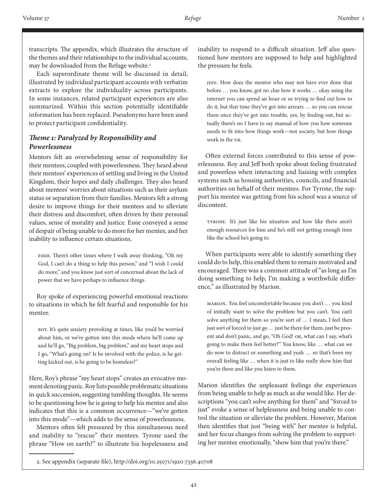transcripts. The appendix, which illustrates the structure of the themes and their relationships to the individual accounts, may be downloaded from the Refuge website.<sup>2</sup>

Each superordinate theme will be discussed in detail, illustrated by individual participant accounts with verbatim extracts to explore the individuality across participants. In some instances, related participant experiences are also summarized. Within this section potentially identifiable information has been replaced. Pseudonyms have been used to protect participant confidentiality.

# *Theme 1: Paralyzed by Responsibility and Powerlessness*

Mentors felt an overwhelming sense of responsibility for their mentees, coupled with powerlessness. They heard about their mentees' experiences of settling and living in the United Kingdom, their hopes and daily challenges. They also heard about mentees' worries about situations such as their asylum status or separation from their families. Mentors felt a strong desire to improve things for their mentees and to alleviate their distress and discomfort, often driven by their personal values, sense of morality and justice. Essie conveyed a sense of despair of being unable to do more for her mentee, and her inability to influence certain situations.

Essie. There's other times where I walk away thinking, "Oh my God, I can't do a thing to help this person," and "I wish I could do more," and you know just sort of concerned about the lack of power that we have perhaps to influence things.

Roy spoke of experiencing powerful emotional reactions to situations in which he felt fearful and responsible for his mentee.

Roy. It's quite anxiety provoking at times, like you'd be worried about him, or we've gotten into this mode where he'll come up and he'll go, "Big problem, big problem," and my heart stops and I go, "What's going on? Is he involved with the police, is he getting kicked out, is he going to be homeless?"

Here, Roy's phrase "my heart stops" creates an evocative moment denoting panic. Roy lists possible problematic situations in quick succession, suggesting tumbling thoughts. He seems to be questioning how he is going to help his mentee and also indicates that this is a common occurrence—"we've gotten into this mode"—which adds to the sense of powerlessness.

Mentors often felt pressured by this simultaneous need and inability to "rescue" their mentees. Tyrone used the phrase "How on earth?" to illustrate his hopelessness and

inability to respond to a difficult situation. Jeff also questioned how mentors are supposed to help and highlighted the pressure he feels.

JEFF. How does the mentor who may not have ever done that before … you know, got no clue how it works … okay using the internet you can spend an hour or so trying to find out how to do it, but that time they've got into arrears … so you can rescue them once they've got into trouble, yes, by finding out, but actually there's no I have to say manual of how you how someone needs to fit into how things work—not society, but how things work in the UK.

Often external forces contributed to this sense of powerlessness. Roy and Jeff both spoke about feeling frustrated and powerless when interacting and liaising with complex systems such as housing authorities, councils, and financial authorities on behalf of their mentees. For Tyrone, the support his mentee was getting from his school was a source of discontent.

Tyrone. It's just like his situation and how like there aren't enough resources for him and he's still not getting enough time like the school he's going to.

When participants were able to identify something they could do to help, this enabled them to remain motivated and encouraged. There was a common attitude of "as long as I'm doing something to help, I'm making a worthwhile difference," as illustrated by Marion.

Marion. You feel uncomfortable because you don't … you kind of initially want to solve the problem but you can't. You can't solve anything for them so you're sort of ... I mean, I feel then just sort of forced to just go … just be there for them, just be present and don't panic, and go, "Oh God! OK, what can I say, what's going to make them feel better?" You know, like … what can we do now to distract or something and yeah … so that's been my overall feeling like … when it is just to like really show him that you're there and like you listen to them.

Marion identifies the unpleasant feelings she experiences from being unable to help as much as she would like. Her descriptions "you can't solve anything for them" and "forced to just" evoke a sense of helplessness and being unable to control the situation or alleviate the problem. However, Marion then identifies that just "being with" her mentee is helpful, and her focus changes from solving the problem to supporting her mentee emotionally, "show him that you're there."

<sup>2.</sup> See appendix (separate file), http://doi.org/10.25071/1920-7336.40708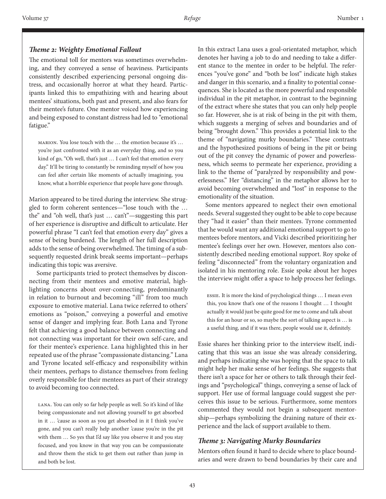#### *Theme 2: Weighty Emotional Fallout*

The emotional toll for mentors was sometimes overwhelming, and they conveyed a sense of heaviness. Participants consistently described experiencing personal ongoing distress, and occasionally horror at what they heard. Participants linked this to empathizing with and hearing about mentees' situations, both past and present, and also fears for their mentee's future. One mentor voiced how experiencing and being exposed to constant distress had led to "emotional fatigue."

Marion. You lose touch with the … the emotion because it's … you're just confronted with it as an everyday thing, and so you kind of go, "Oh well, that's just … I can't feel that emotion every day." It'll be tiring to constantly be reminding myself of how you can feel after certain like moments of actually imagining, you know, what a horrible experience that people have gone through.

Marion appeared to be tired during the interview. She struggled to form coherent sentences—"lose touch with the … the" and "oh well, that's just … can't"—suggesting this part of her experience is disruptive and difficult to articulate. Her powerful phrase "I can't feel that emotion every day" gives a sense of being burdened. The length of her full description adds to the sense of being overwhelmed. The timing of a subsequently requested drink break seems important—perhaps indicating this topic was aversive.

Some participants tried to protect themselves by disconnecting from their mentees and emotive material, highlighting concerns about over-connecting, predominantly in relation to burnout and becoming "ill" from too much exposure to emotive material. Lana twice referred to others' emotions as "poison," conveying a powerful and emotive sense of danger and implying fear. Both Lana and Tyrone felt that achieving a good balance between connecting and not connecting was important for their own self-care, and for their mentee's experience. Lana highlighted this in her repeated use of the phrase "compassionate distancing." Lana and Tyrone located self-efficacy and responsibility within their mentees, perhaps to distance themselves from feeling overly responsible for their mentees as part of their strategy to avoid becoming too connected.

Lana. You can only so far help people as well. So it's kind of like being compassionate and not allowing yourself to get absorbed in it … 'cause as soon as you get absorbed in it I think you've gone, and you can't really help another 'cause you're in the pit with them … So yes that I'd say like you observe it and you stay focused, and you know in that way you can be compassionate and throw them the stick to get them out rather than jump in and both be lost.

In this extract Lana uses a goal-orientated metaphor, which denotes her having a job to do and needing to take a different stance to the mentee in order to be helpful. The references "you've gone" and "both be lost" indicate high stakes and danger in this scenario, and a finality to potential consequences. She is located as the more powerful and responsible individual in the pit metaphor, in contrast to the beginning of the extract where she states that you can only help people so far. However, she is at risk of being in the pit with them, which suggests a merging of selves and boundaries and of being "brought down." This provides a potential link to the theme of "navigating murky boundaries." These contrasts and the hypothesized positions of being in the pit or being out of the pit convey the dynamic of power and powerlessness, which seems to permeate her experience, providing a link to the theme of "paralyzed by responsibility and powerlessness." Her "distancing" in the metaphor allows her to avoid becoming overwhelmed and "lost" in response to the emotionality of the situation.

Some mentors appeared to neglect their own emotional needs. Several suggested they ought to be able to cope because they "had it easier" than their mentees. Tyrone commented that he would want any additional emotional support to go to mentees before mentors, and Vicki described prioritizing her mentee's feelings over her own. However, mentors also consistently described needing emotional support. Roy spoke of feeling "disconnected" from the voluntary organization and isolated in his mentoring role. Essie spoke about her hopes the interview might offer a space to help process her feelings.

Essie. It is more the kind of psychological things … I mean even this, you know that's one of the reasons I thought … I thought actually it would just be quite good for me to come and talk about this for an hour or so, so maybe the sort of talking aspect is … is a useful thing, and if it was there, people would use it, definitely.

Essie shares her thinking prior to the interview itself, indicating that this was an issue she was already considering, and perhaps indicating she was hoping that the space to talk might help her make sense of her feelings. She suggests that there isn't a space for her or others to talk through their feelings and "psychological" things, conveying a sense of lack of support. Her use of formal language could suggest she perceives this issue to be serious. Furthermore, some mentors commented they would not begin a subsequent mentorship—perhaps symbolizing the draining nature of their experience and the lack of support available to them.

## *Theme 3: Navigating Murky Boundaries*

Mentors often found it hard to decide where to place boundaries and were drawn to bend boundaries by their care and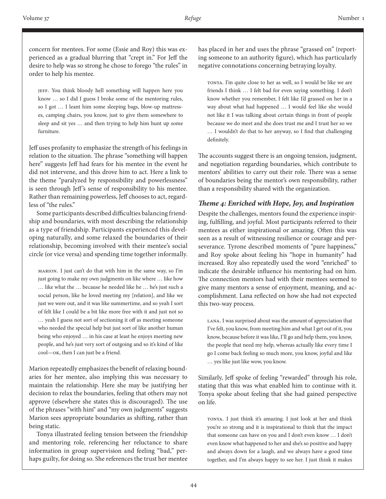concern for mentees. For some (Essie and Roy) this was experienced as a gradual blurring that "crept in." For Jeff the desire to help was so strong he chose to forego "the rules" in order to help his mentee.

Jeff. You think bloody hell something will happen here you know … so I did I guess I broke some of the mentoring rules, so I got … I leant him some sleeping bags, blow-up mattresses, camping chairs, you know, just to give them somewhere to sleep and sit yes … and then trying to help him hunt up some furniture.

Jeff uses profanity to emphasize the strength of his feelings in relation to the situation. The phrase "something will happen here" suggests Jeff had fears for his mentee in the event he did not intervene, and this drove him to act. Here a link to the theme "paralyzed by responsibility and powerlessness" is seen through Jeff's sense of responsibility to his mentee. Rather than remaining powerless, Jeff chooses to act, regardless of "the rules."

Some participants described difficulties balancing friendship and boundaries, with most describing the relationship as a type of friendship. Participants experienced this developing naturally, and some relaxed the boundaries of their relationship, becoming involved with their mentee's social circle (or vice versa) and spending time together informally.

Marion. I just can't do that with him in the same way, so I'm just going to make my own judgments on like where … like how … like what the … because he needed like he … he's just such a social person, like he loved meeting my [relation], and like we just we were out, and it was like summertime, and so yeah I sort of felt like I could be a bit like more free with it and just not so … yeah I guess not sort of sectioning it off as meeting someone who needed the special help but just sort of like another human being who enjoyed … in his case at least he enjoys meeting new people, and he's just very sort of outgoing and so it's kind of like cool—OK, then I can just be a friend.

Marion repeatedly emphasizes the benefit of relaxing boundaries for her mentee, also implying this was necessary to maintain the relationship. Here she may be justifying her decision to relax the boundaries, feeling that others may not approve (elsewhere she states this is discouraged). The use of the phrases "with him" and "my own judgments" suggests Marion sees appropriate boundaries as shifting, rather than being static.

Tonya illustrated feeling tension between the friendship and mentoring role, referencing her reluctance to share information in group supervision and feeling "bad," perhaps guilty, for doing so. She references the trust her mentee

has placed in her and uses the phrase "grassed on" (reporting someone to an authority figure), which has particularly negative connotations concerning betraying loyalty.

Tonya. I'm quite close to her as well, so I would be like we are friends I think … I felt bad for even saying something. I don't know whether you remember, I felt like I'd grassed on her in a way about what had happened … I would feel like she would not like it I was talking about certain things in front of people because we do meet and she does trust me and I trust her so we … I wouldn't do that to her anyway, so I find that challenging definitely.

The accounts suggest there is an ongoing tension, judgment, and negotiation regarding boundaries, which contribute to mentors' abilities to carry out their role. There was a sense of boundaries being the mentor's own responsibility, rather than a responsibility shared with the organization.

## *Theme 4: Enriched with Hope, Joy, and Inspiration*

Despite the challenges, mentors found the experience inspiring, fulfilling, and joyful. Most participants referred to their mentees as either inspirational or amazing. Often this was seen as a result of witnessing resilience or courage and perseverance. Tyrone described moments of "pure happiness," and Roy spoke about feeling his "hope in humanity" had increased. Roy also repeatedly used the word "enriched" to indicate the desirable influence his mentoring had on him. The connection mentors had with their mentees seemed to give many mentors a sense of enjoyment, meaning, and accomplishment. Lana reflected on how she had not expected this two-way process.

Lana. I was surprised about was the amount of appreciation that I've felt, you know, from meeting him and what I get out of it, you know, because before it was like, I'll go and help them, you know, the people that need my help, whereas actually like every time I go I come back feeling so much more, you know, joyful and like … yes like just like wow, you know.

Similarly, Jeff spoke of feeling "rewarded" through his role, stating that this was what enabled him to continue with it. Tonya spoke about feeling that she had gained perspective on life.

Tonya. I just think it's amazing. I just look at her and think you're so strong and it is inspirational to think that the impact that someone can have on you and I don't even know … I don't even know what happened to her and she's so positive and happy and always down for a laugh, and we always have a good time together, and I'm always happy to see her. I just think it makes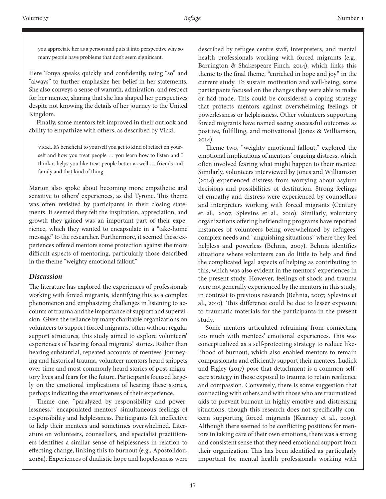you appreciate her as a person and puts it into perspective why so many people have problems that don't seem significant.

Here Tonya speaks quickly and confidently, using "so" and "always" to further emphasize her belief in her statements. She also conveys a sense of warmth, admiration, and respect for her mentee, sharing that she has shaped her perspectives despite not knowing the details of her journey to the United Kingdom.

Finally, some mentors felt improved in their outlook and ability to empathize with others, as described by Vicki.

Vicki. It's beneficial to yourself you get to kind of reflect on yourself and how you treat people … you learn how to listen and I think it helps you like treat people better as well … friends and family and that kind of thing.

Marion also spoke about becoming more empathetic and sensitive to others' experiences, as did Tyrone. This theme was often revisited by participants in their closing statements. It seemed they felt the inspiration, appreciation, and growth they gained was an important part of their experience, which they wanted to encapsulate in a "take-home message" to the researcher. Furthermore, it seemed these experiences offered mentors some protection against the more difficult aspects of mentoring, particularly those described in the theme "weighty emotional fallout."

#### *Discussion*

The literature has explored the experiences of professionals working with forced migrants, identifying this as a complex phenomenon and emphasizing challenges in listening to accounts of trauma and the importance of support and supervision. Given the reliance by many charitable organizations on volunteers to support forced migrants, often without regular support structures, this study aimed to explore volunteers' experiences of hearing forced migrants' stories. Rather than hearing substantial, repeated accounts of mentees' journeying and historical trauma, volunteer mentors heard snippets over time and most commonly heard stories of post-migratory lives and fears for the future. Participants focused largely on the emotional implications of hearing these stories, perhaps indicating the emotiveness of their experience.

Theme one, "paralyzed by responsibility and powerlessness," encapsulated mentors' simultaneous feelings of responsibility and helplessness. Participants felt ineffective to help their mentees and sometimes overwhelmed. Literature on volunteers, counsellors, and specialist practitioners identifies a similar sense of helplessness in relation to effecting change, linking this to burnout (e.g., Apostolidou, 2016a). Experiences of dualistic hope and hopelessness were

described by refugee centre staff, interpreters, and mental health professionals working with forced migrants (e.g., Barrington & Shakespeare-Finch, 2014), which links this theme to the final theme, "enriched in hope and joy" in the current study. To sustain motivation and well-being, some participants focused on the changes they were able to make or had made. This could be considered a coping strategy that protects mentors against overwhelming feelings of powerlessness or helplessness. Other volunteers supporting forced migrants have named seeing successful outcomes as positive, fulfilling, and motivational (Jones & Williamson, 2014).

Theme two, "weighty emotional fallout," explored the emotional implications of mentors' ongoing distress, which often involved fearing what might happen to their mentee. Similarly, volunteers interviewed by Jones and Williamson (2014) experienced distress from worrying about asylum decisions and possibilities of destitution. Strong feelings of empathy and distress were experienced by counsellors and interpreters working with forced migrants (Century et al., 2007; Splevins et al., 2010). Similarly, voluntary organizations offering befriending programs have reported instances of volunteers being overwhelmed by refugees' complex needs and "anguishing situations" where they feel helpless and powerless (Behnia, 2007). Behnia identifies situations where volunteers can do little to help and find the complicated legal aspects of helping as contributing to this, which was also evident in the mentors' experiences in the present study. However, feelings of shock and trauma were not generally experienced by the mentors in this study, in contrast to previous research (Behnia, 2007; Splevins et al., 2010). This difference could be due to lesser exposure to traumatic materials for the participants in the present study.

Some mentors articulated refraining from connecting too much with mentees' emotional experiences. This was conceptualized as a self-protecting strategy to reduce likelihood of burnout, which also enabled mentors to remain compassionate and efficiently support their mentees. Ludick and Figley (2017) pose that detachment is a common selfcare strategy in those exposed to trauma to retain resilience and compassion. Conversely, there is some suggestion that connecting with others and with those who are traumatized aids to prevent burnout in highly emotive and distressing situations, though this research does not specifically concern supporting forced migrants (Kearney et al., 2009). Although there seemed to be conflicting positions for mentors in taking care of their own emotions, there was a strong and consistent sense that they need emotional support from their organization. This has been identified as particularly important for mental health professionals working with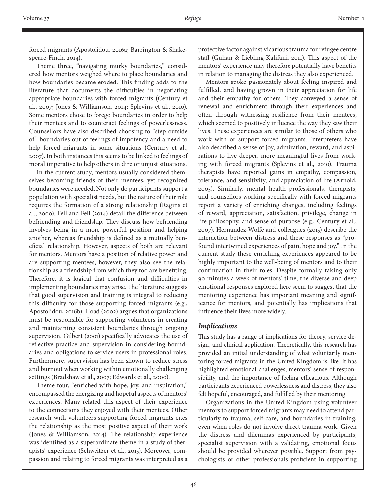forced migrants (Apostolidou, 2016a; Barrington & Shakespeare-Finch, 2014).

Theme three, "navigating murky boundaries," considered how mentors weighed where to place boundaries and how boundaries became eroded. This finding adds to the literature that documents the difficulties in negotiating appropriate boundaries with forced migrants (Century et al., 2007; Jones & Williamson, 2014; Splevins et al., 2010). Some mentors chose to forego boundaries in order to help their mentees and to counteract feelings of powerlessness. Counsellors have also described choosing to "step outside of" boundaries out of feelings of impotency and a need to help forced migrants in some situations (Century et al., 2007). In both instances this seems to be linked to feelings of moral imperative to help others in dire or unjust situations.

In the current study, mentors usually considered themselves becoming friends of their mentees, yet recognized boundaries were needed. Not only do participants support a population with specialist needs, but the nature of their role requires the formation of a strong relationship (Ragins et al., 2000). Fell and Fell (2014) detail the difference between befriending and friendship. They discuss how befriending involves being in a more powerful position and helping another, whereas friendship is defined as a mutually beneficial relationship. However, aspects of both are relevant for mentors. Mentors have a position of relative power and are supporting mentees; however, they also see the relationship as a friendship from which they too are benefiting. Therefore, it is logical that confusion and difficulties in implementing boundaries may arise. The literature suggests that good supervision and training is integral to reducing this difficulty for those supporting forced migrants (e.g., Apostolidou, 2016b). Hoad (2002) argues that organizations must be responsible for supporting volunteers in creating and maintaining consistent boundaries through ongoing supervision. Gilbert (2001) specifically advocates the use of reflective practice and supervision in considering boundaries and obligations to service users in professional roles. Furthermore, supervision has been shown to reduce stress and burnout when working within emotionally challenging settings (Bradshaw et al., 2007; Edwards et al., 2000).

Theme four, "enriched with hope, joy, and inspiration," encompassed the energizing and hopeful aspects of mentors' experiences. Many related this aspect of their experience to the connections they enjoyed with their mentees. Other research with volunteers supporting forced migrants cites the relationship as the most positive aspect of their work (Jones & Williamson, 2014). The relationship experience was identified as a superordinate theme in a study of therapists' experience (Schweitzer et al., 2015). Moreover, compassion and relating to forced migrants was interpreted as a

protective factor against vicarious trauma for refugee centre staff (Guhan & Liebling-Kalifani, 2011). This aspect of the mentors' experience may therefore potentially have benefits in relation to managing the distress they also experienced.

Mentors spoke passionately about feeling inspired and fulfilled. and having grown in their appreciation for life and their empathy for others. They conveyed a sense of renewal and enrichment through their experiences and often through witnessing resilience from their mentees, which seemed to positively influence the way they saw their lives. These experiences are similar to those of others who work with or support forced migrants. Interpreters have also described a sense of joy, admiration, reward, and aspirations to live deeper, more meaningful lives from working with forced migrants (Splevins et al., 2010). Trauma therapists have reported gains in empathy, compassion, tolerance, and sensitivity, and appreciation of life (Arnold, 2005). Similarly, mental health professionals, therapists, and counsellors working specifically with forced migrants report a variety of enriching changes, including feelings of reward, appreciation, satisfaction, privilege, change in life philosophy, and sense of purpose (e.g., Century et al., 2007). Hernandez-Wolfe and colleagues (2015) describe the interaction between distress and these responses as "profound intertwined experiences of pain, hope and joy." In the current study these enriching experiences appeared to be highly important to the well-being of mentors and to their continuation in their roles. Despite formally taking only 90 minutes a week of mentors' time, the diverse and deep emotional responses explored here seem to suggest that the mentoring experience has important meaning and significance for mentors, and potentially has implications that influence their lives more widely.

#### *Implications*

This study has a range of implications for theory, service design, and clinical application. Theoretically, this research has provided an initial understanding of what voluntarily mentoring forced migrants in the United Kingdom is like. It has highlighted emotional challenges, mentors' sense of responsibility, and the importance of feeling efficacious. Although participants experienced powerlessness and distress, they also felt hopeful, encouraged, and fulfilled by their mentoring.

Organizations in the United Kingdom using volunteer mentors to support forced migrants may need to attend particularly to trauma, self-care, and boundaries in training, even when roles do not involve direct trauma work. Given the distress and dilemmas experienced by participants, specialist supervision with a validating, emotional focus should be provided wherever possible. Support from psychologists or other professionals proficient in supporting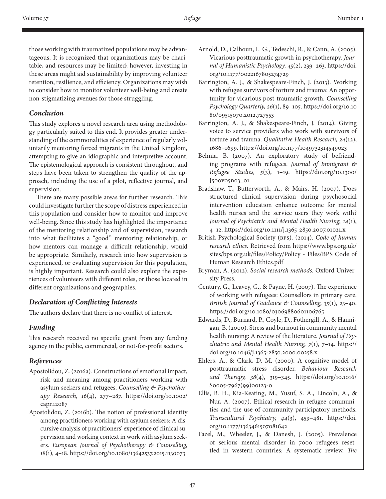those working with traumatized populations may be advantageous. It is recognized that organizations may be charitable, and resources may be limited; however, investing in these areas might aid sustainability by improving volunteer retention, resilience, and efficiency. Organizations may wish to consider how to monitor volunteer well-being and create non-stigmatizing avenues for those struggling.

# *Conclusion*

This study explores a novel research area using methodology particularly suited to this end. It provides greater understanding of the commonalities of experience of regularly voluntarily mentoring forced migrants in the United Kingdom, attempting to give an idiographic and interpretive account. The epistemological approach is consistent throughout, and steps have been taken to strengthen the quality of the approach, including the use of a pilot, reflective journal, and supervision.

There are many possible areas for further research. This could investigate further the scope of distress experienced in this population and consider how to monitor and improve well-being. Since this study has highlighted the importance of the mentoring relationship and of supervision, research into what facilitates a "good" mentoring relationship, or how mentors can manage a difficult relationship, would be appropriate. Similarly, research into how supervision is experienced, or evaluating supervision for this population, is highly important. Research could also explore the experiences of volunteers with different roles, or those located in different organizations and geographies.

## *Declaration of Conflicting Interests*

The authors declare that there is no conflict of interest.

# *Funding*

This research received no specific grant from any funding agency in the public, commercial, or not-for-profit sectors.

# *References*

- Apostolidou, Z. (2016a). Constructions of emotional impact, risk and meaning among practitioners working with asylum seekers and refugees. *Counselling & Psychotherapy Research, 16*(4), 277–287. [https://doi.org/10.1002/](https://doi.org/10.1002/capr.12087) [capr.12087](https://doi.org/10.1002/capr.12087)
- Apostolidou, Z. (2016b). The notion of professional identity among practitioners working with asylum seekers: A discursive analysis of practitioners' experience of clinical supervision and working context in work with asylum seekers. *European Journal of Psychotherapy & Counselling, 18*(1), 4–18. <https://doi.org/10.1080/13642537.2015.1130073>
- Arnold, D., Calhoun, L. G., Tedeschi, R., & Cann, A. (2005). Vicarious posttraumatic growth in psychotherapy. *Journal of Humanistic Psychology, 45*(2), 239–263. [https://doi.](https://doi.org/10.1177/0022167805274729) [org/10.1177/0022167805274729](https://doi.org/10.1177/0022167805274729)
- Barrington, A. J., & Shakespeare-Finch, J. (2013). Working with refugee survivors of torture and trauma: An opportunity for vicarious post-traumatic growth. *Counselling Psychology Quarterly, 26*(1), 89–105. [https://doi.org/10.10](https://doi.org/10.1080/09515070.2012.727553) [80/09515070.2012.727553](https://doi.org/10.1080/09515070.2012.727553)
- Barrington, A. J., & Shakespeare-Finch, J. (2014). Giving voice to service providers who work with survivors of torture and trauma. *Qualitative Health Research, 24*(12), 1686–1699. <https://doi.org/10.1177/1049732314549023>
- Behnia, B. (2007). An exploratory study of befriending programs with refugees. *Journal of Immigrant & Refugee Studies, 5*(3), 1–19. [https://doi.org/10.1300/](https://doi.org/10.1300/J500v05n03_01) [J500v05n03\\_01](https://doi.org/10.1300/J500v05n03_01)
- Bradshaw, T., Butterworth, A., & Mairs, H. (2007). Does structured clinical supervision during psychosocial intervention education enhance outcome for mental health nurses and the service users they work with? *Journal of Psychiatric and Mental Health Nursing, 14*(1), 4–12.<https://doi.org/10.1111/j.1365-2850.2007.01021.x>
- British Psychological Society (BPS). (2014). *Code of human research ethics.* Retrieved from https://www.bps.org.uk/ sites/bps.org.uk/files/Policy/Policy - Files/BPS Code of Human Research Ethics.pdf
- Bryman, A. (2012). *Social research methods.* Oxford University Press.
- Century, G., Leavey, G., & Payne, H. (2007). The experience of working with refugees: Counsellors in primary care. *British Journal of Guidance & Counselling, 35*(1), 23–40. <https://doi.org/10.1080/03069880601106765>
- Edwards, D., Burnard, P., Coyle, D., Fothergill, A., & Hannigan, B. (2000). Stress and burnout in community mental health nursing: A review of the literature. *Journal of Psychiatric and Mental Health Nursing, 7*(1), 7–14. [https://](https://doi.org/10.1046/j.1365-2850.2000.00258.x) [doi.org/10.1046/j.1365-2850.2000.00258.x](https://doi.org/10.1046/j.1365-2850.2000.00258.x)
- Ehlers, A., & Clark, D. M. (2000). A cognitive model of posttraumatic stress disorder. *Behaviour Research and Therapy, 38*(4), 319–345. [https://doi.org/10.1016/](https://doi.org/10.1016/S0005-7967(99)00123-0) [S0005-7967\(99\)00123-0](https://doi.org/10.1016/S0005-7967(99)00123-0)
- Ellis, B. H., Kia-Keating, M., Yusuf, S. A., Lincoln, A., & Nur, A. (2007). Ethical research in refugee communities and the use of community participatory methods. *Transcultural Psychiatry, 44*(3), 459–481. [https://doi.](https://doi.org/10.1177/1363461507081642) [org/10.1177/1363461507081642](https://doi.org/10.1177/1363461507081642)
- Fazel, M., Wheeler, J., & Danesh, J. (2005). Prevalence of serious mental disorder in 7000 refugees resettled in western countries: A systematic review. *The*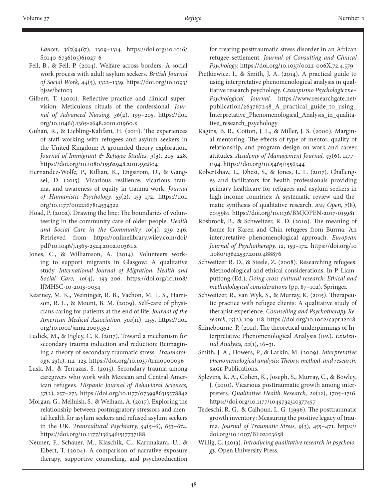*Lancet, 365*(9467), 1309–1314. [https://doi.org/10.1016/](https://doi.org/10.1016/S0140-6736(05)61027-6) [S0140-6736\(05\)61027-6](https://doi.org/10.1016/S0140-6736(05)61027-6)

- Fell, B., & Fell, P. (2014). Welfare across borders: A social work process with adult asylum seekers. *British Journal of Social Work, 44*(5), 1322–1339. [https://doi.org/10.1093/](https://doi.org/10.1093/bjsw/bct003) bjsw/bctoo3
- Gilbert, T. (2001). Reflective practice and clinical supervision: Meticulous rituals of the confessional. *Journal of Advanced Nursing, 36*(2), 199–205. [https://doi.](https://doi.org/10.1046/j.1365-2648.2001.01960.x) [org/10.1046/j.1365-2648.2001.01960.x](https://doi.org/10.1046/j.1365-2648.2001.01960.x)
- Guhan, R., & Liebling-Kalifani, H. (2011). The experiences of staff working with refugees and asylum seekers in the United Kingdom: A grounded theory exploration. *Journal of Immigrant & Refugee Studies, 9*(3), 205–228. <https://doi.org/10.1080/15562948.2011.592804>
- Hernandez-Wolfe, P., Killian, K., Engstrom, D., & Gangsei, D. (2015). Vicarious resilience, vicarious trauma, and awareness of equity in trauma work. *Journal of Humanistic Psychology, 55*(2), 153–172. [https://doi.](https://doi.org/10.1177/0022167814534322) [org/10.1177/0022167814534322](https://doi.org/10.1177/0022167814534322)
- Hoad, P. (2002). Drawing the line: The boundaries of volunteering in the community care of older people. *Health and Social Care in the Community, 10*(4), 239–246. Retrieved from [https://onlinelibrary.wiley.com/doi/](https://onlinelibrary.wiley.com/doi/pdf/10.1046/j.1365-2524.2002.00361.x) [pdf/10.1046/j.1365-2524.2002.00361.x](https://onlinelibrary.wiley.com/doi/pdf/10.1046/j.1365-2524.2002.00361.x)
- Jones, C., & Williamson, A. (2014). Volunteers working to support migrants in Glasgow: A qualitative study. *International Journal of Migration, Health and Social Care, 10*(4), 193–206. [https://doi.org/10.1108/](https://doi.org/10.1108/IJMHSC-10-2013-0034) [IJMHSC-10-2013-0034](https://doi.org/10.1108/IJMHSC-10-2013-0034)
- Kearney, M. K., Weininger, R. B., Vachon, M. L. S., Harrison, R. L., & Mount, B. M. (2009). Self-care of physicians caring for patients at the end of life. *Journal of the American Medical Association, 301*(11), 1155. [https://doi.](https://doi.org/10.1001/jama.2009.352) [org/10.1001/jama.2009.352](https://doi.org/10.1001/jama.2009.352)
- Ludick, M., & Figley, C. R. (2017). Toward a mechanism for secondary trauma induction and reduction: Reimagining a theory of secondary traumatic stress. *Traumatology, 23*(1), 112–123.<https://doi.org/10.1037/trm0000096>
- Lusk, M., & Terrazas, S. (2015). Secondary trauma among caregivers who work with Mexican and Central American refugees. *Hispanic Journal of Behavioral Sciences, 37*(2), 257–273. <https://doi.org/10.1177/0739986315578842>
- Morgan, G., Melluish, S., & Welham, A. (2017). Exploring the relationship between postmigratory stressors and mental health for asylum seekers and refused asylum seekers in the UK. *Transcultural Psychiatry, 54*(5–6), 653–674. <https://doi.org/10.1177/1363461517737188>
- Neuner, F., Schauer, M., Klaschik, C., Karunakara, U., & Elbert, T. (2004). A comparison of narrative exposure therapy, supportive counseling, and psychoeducation

for treating posttraumatic stress disorder in an African refugee settlement. *Journal of Consulting and Clinical Psychology.* <https://doi.org/10.1037/0022-006X.72.4.579>

- Pietkiewicz, I., & Smith, J. A. (2014). A practical guide to using interpretative phenomenological analysis in qualitative research psychology. *Czasopismo Psychologiczne– Psychological Journal.* [https://www.researchgate.net/](https://www.researchgate.net/publication/263767248_A_practical_guide_to_using_Interpretative_Phenome) [publication/263767248\\_A\\_practical\\_guide\\_to\\_using\\_](https://www.researchgate.net/publication/263767248_A_practical_guide_to_using_Interpretative_Phenome) [Interpretative\\_Phenomenological\\_Analysis\\_in\\_qualita](https://www.researchgate.net/publication/263767248_A_practical_guide_to_using_Interpretative_Phenome)[tive\\_research\\_psychology](https://www.researchgate.net/publication/263767248_A_practical_guide_to_using_Interpretative_Phenome)
- Ragins, B. R., Cotton, J. L., & Miller, J. S. (2000). Marginal mentoring: The effects of type of mentor, quality of relationship, and program design on work and career attitudes. *Academy of Management Journal, 43*(6), 1177– 1194. <https://doi.org/10.5465/1556344>
- Robertshaw, L., Dhesi, S., & Jones, L. L. (2017). Challenges and facilitators for health professionals providing primary healthcare for refugees and asylum seekers in high-income countries: A systematic review and thematic synthesis of qualitative research. *BMJ Open, 7*(8), e015981.<https://doi.org/10.1136/BMJOPEN-2017-015981>
- Rosbrook, B., & Schweitzer, R. D. (2010). The meaning of home for Karen and Chin refugees from Burma: An interpretative phenomenological approach. *European Journal of Psychotherapy, 12*, 159–172. https://doi.org/10 .1080/13642537.2010.488876
- Schweitzer R. D., & Steele, Z. (2008). Researching refugees: Methodological and ethical considerations. In P. Liamputtong (Ed.), *Doing cross-cultural research: Ethical and methodological considerations* (pp. 87–102). Springer.
- Schweitzer, R., van Wyk, S., & Murray, K. (2015). Therapeutic practice with refugee clients: A qualitative study of therapist experience. *Counselling and Psychotherapy Research, 15*(2), 109–118. <https://doi.org/10.1002/capr.12018>
- Shinebourne, P. (2011). The theoretical underpinnings of Interpretative Phenomenological Analysis (IPA). *Existential Analysis, 22*(1), 16–31.
- Smith, J. A., Flowers, P., & Larkin, M. (2009). *Interpretative phenomenological analysis: Theory, method, and research.*  SAGE Publications.
- Splevins, K. A., Cohen, K., Joseph, S., Murray, C., & Bowley, J. (2010). Vicarious posttraumatic growth among interpreters. *Qualitative Health Research, 20*(12), 1705–1716. <https://doi.org/10.1177/1049732310377457>
- Tedeschi, R. G., & Calhoun, L. G. (1996). The posttraumatic growth inventory: Measuring the positive legacy of trauma. *Journal of Traumatic Stress, 9*(3), 455–471. [https://](https://doi.org/10.1007/BF02103658) [doi.org/10.1007/BF02103658](https://doi.org/10.1007/BF02103658)
- Willig, C. (2013). *Introducing qualitative research in psychology.* Open University Press.